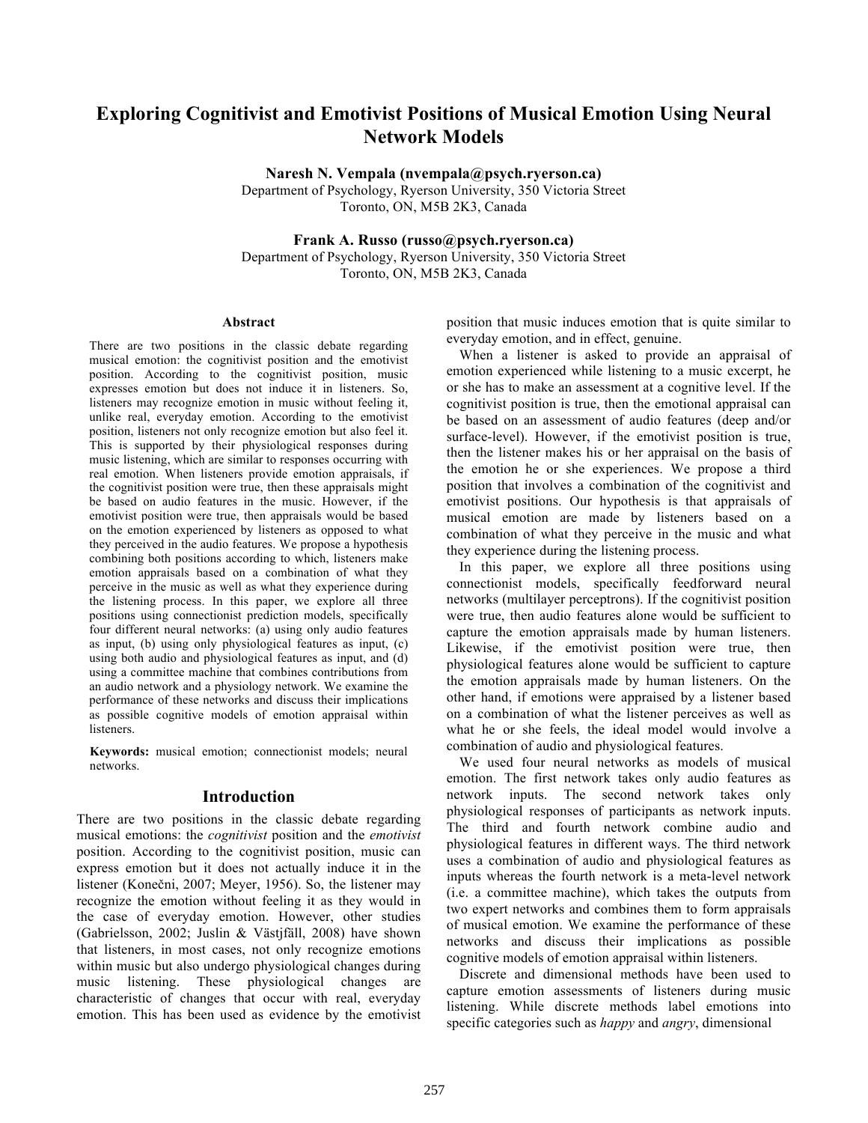# **Exploring Cognitivist and Emotivist Positions of Musical Emotion Using Neural Network Models**

**Naresh N. Vempala (nvempala@psych.ryerson.ca)**

Department of Psychology, Ryerson University, 350 Victoria Street Toronto, ON, M5B 2K3, Canada

**Frank A. Russo (russo@psych.ryerson.ca)**

Department of Psychology, Ryerson University, 350 Victoria Street Toronto, ON, M5B 2K3, Canada

#### **Abstract**

There are two positions in the classic debate regarding musical emotion: the cognitivist position and the emotivist position. According to the cognitivist position, music expresses emotion but does not induce it in listeners. So, listeners may recognize emotion in music without feeling it, unlike real, everyday emotion. According to the emotivist position, listeners not only recognize emotion but also feel it. This is supported by their physiological responses during music listening, which are similar to responses occurring with real emotion. When listeners provide emotion appraisals, if the cognitivist position were true, then these appraisals might be based on audio features in the music. However, if the emotivist position were true, then appraisals would be based on the emotion experienced by listeners as opposed to what they perceived in the audio features. We propose a hypothesis combining both positions according to which, listeners make emotion appraisals based on a combination of what they perceive in the music as well as what they experience during the listening process. In this paper, we explore all three positions using connectionist prediction models, specifically four different neural networks: (a) using only audio features as input, (b) using only physiological features as input, (c) using both audio and physiological features as input, and (d) using a committee machine that combines contributions from an audio network and a physiology network. We examine the performance of these networks and discuss their implications as possible cognitive models of emotion appraisal within listeners.

**Keywords:** musical emotion; connectionist models; neural networks.

### **Introduction**

There are two positions in the classic debate regarding musical emotions: the *cognitivist* position and the *emotivist*  position. According to the cognitivist position, music can express emotion but it does not actually induce it in the listener (Konečni, 2007; Meyer, 1956). So, the listener may recognize the emotion without feeling it as they would in the case of everyday emotion. However, other studies (Gabrielsson, 2002; Juslin & Västjfäll, 2008) have shown that listeners, in most cases, not only recognize emotions within music but also undergo physiological changes during music listening. These physiological changes are characteristic of changes that occur with real, everyday emotion. This has been used as evidence by the emotivist position that music induces emotion that is quite similar to everyday emotion, and in effect, genuine.

When a listener is asked to provide an appraisal of emotion experienced while listening to a music excerpt, he or she has to make an assessment at a cognitive level. If the cognitivist position is true, then the emotional appraisal can be based on an assessment of audio features (deep and/or surface-level). However, if the emotivist position is true, then the listener makes his or her appraisal on the basis of the emotion he or she experiences. We propose a third position that involves a combination of the cognitivist and emotivist positions. Our hypothesis is that appraisals of musical emotion are made by listeners based on a combination of what they perceive in the music and what they experience during the listening process.

In this paper, we explore all three positions using connectionist models, specifically feedforward neural networks (multilayer perceptrons). If the cognitivist position were true, then audio features alone would be sufficient to capture the emotion appraisals made by human listeners. Likewise, if the emotivist position were true, then physiological features alone would be sufficient to capture the emotion appraisals made by human listeners. On the other hand, if emotions were appraised by a listener based on a combination of what the listener perceives as well as what he or she feels, the ideal model would involve a combination of audio and physiological features.

We used four neural networks as models of musical emotion. The first network takes only audio features as network inputs. The second network takes only physiological responses of participants as network inputs. The third and fourth network combine audio and physiological features in different ways. The third network uses a combination of audio and physiological features as inputs whereas the fourth network is a meta-level network (i.e. a committee machine), which takes the outputs from two expert networks and combines them to form appraisals of musical emotion. We examine the performance of these networks and discuss their implications as possible cognitive models of emotion appraisal within listeners.

Discrete and dimensional methods have been used to capture emotion assessments of listeners during music listening. While discrete methods label emotions into specific categories such as *happy* and *angry*, dimensional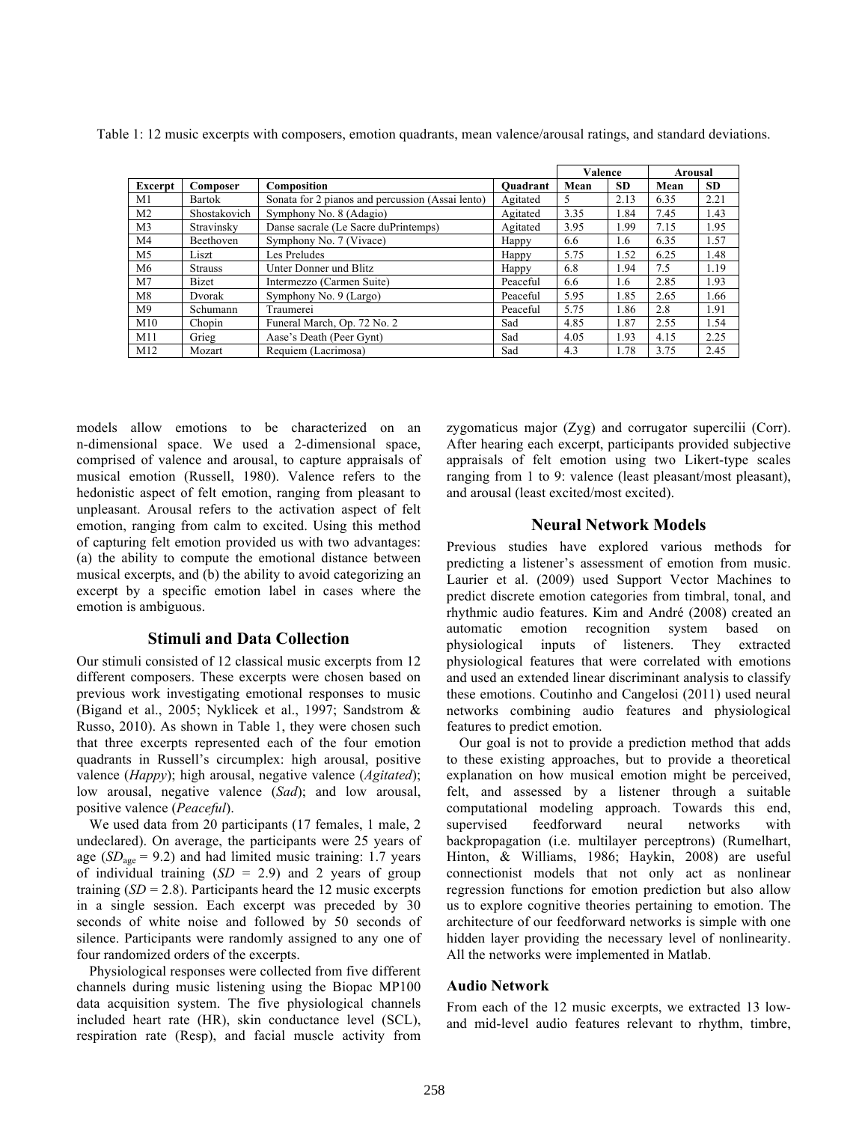|                |                |                                                  |          | Valence |           | <b>Arousal</b> |           |
|----------------|----------------|--------------------------------------------------|----------|---------|-----------|----------------|-----------|
| Excerpt        | Composer       | Composition                                      | Ouadrant | Mean    | <b>SD</b> | Mean           | <b>SD</b> |
| M1             | <b>Bartok</b>  | Sonata for 2 pianos and percussion (Assai lento) | Agitated | 5       | 2.13      | 6.35           | 2.21      |
| M <sub>2</sub> | Shostakovich   | Symphony No. 8 (Adagio)                          | Agitated | 3.35    | 1.84      | 7.45           | 1.43      |
| M <sub>3</sub> | Stravinsky     | Danse sacrale (Le Sacre duPrintemps)             | Agitated | 3.95    | 1.99      | 7.15           | 1.95      |
| M <sub>4</sub> | Beethoven      | Symphony No. 7 (Vivace)                          | Happy    | 6.6     | 1.6       | 6.35           | 1.57      |
| M <sub>5</sub> | Liszt          | Les Preludes                                     | Happy    | 5.75    | 1.52      | 6.25           | 1.48      |
| M6             | <b>Strauss</b> | Unter Donner und Blitz                           | Happy    | 6.8     | 1.94      | 7.5            | 1.19      |
| M <sub>7</sub> | <b>Bizet</b>   | Intermezzo (Carmen Suite)                        | Peaceful | 6.6     | 1.6       | 2.85           | 1.93      |
| M8             | Dvorak         | Symphony No. 9 (Largo)                           | Peaceful | 5.95    | 1.85      | 2.65           | 1.66      |
| M <sup>9</sup> | Schumann       | Traumerei                                        | Peaceful | 5.75    | 1.86      | 2.8            | 1.91      |
| M10            | Chopin         | Funeral March, Op. 72 No. 2                      | Sad      | 4.85    | 1.87      | 2.55           | 1.54      |
| M11            | Grieg          | Aase's Death (Peer Gynt)                         | Sad      | 4.05    | 1.93      | 4.15           | 2.25      |
| M12            | Mozart         | Requiem (Lacrimosa)                              | Sad      | 4.3     | 1.78      | 3.75           | 2.45      |

Table 1: 12 music excerpts with composers, emotion quadrants, mean valence/arousal ratings, and standard deviations.

models allow emotions to be characterized on an n-dimensional space. We used a 2-dimensional space, comprised of valence and arousal, to capture appraisals of musical emotion (Russell, 1980). Valence refers to the hedonistic aspect of felt emotion, ranging from pleasant to unpleasant. Arousal refers to the activation aspect of felt emotion, ranging from calm to excited. Using this method of capturing felt emotion provided us with two advantages: (a) the ability to compute the emotional distance between musical excerpts, and (b) the ability to avoid categorizing an excerpt by a specific emotion label in cases where the emotion is ambiguous.

## **Stimuli and Data Collection**

Our stimuli consisted of 12 classical music excerpts from 12 different composers. These excerpts were chosen based on previous work investigating emotional responses to music (Bigand et al., 2005; Nyklicek et al., 1997; Sandstrom & Russo, 2010). As shown in Table 1, they were chosen such that three excerpts represented each of the four emotion quadrants in Russell's circumplex: high arousal, positive valence (*Happy*); high arousal, negative valence (*Agitated*); low arousal, negative valence (*Sad*); and low arousal, positive valence (*Peaceful*).

We used data from 20 participants (17 females, 1 male, 2 undeclared). On average, the participants were 25 years of age  $(SD<sub>age</sub> = 9.2)$  and had limited music training: 1.7 years of individual training (*SD* = 2.9) and 2 years of group training  $(SD = 2.8)$ . Participants heard the 12 music excerpts in a single session. Each excerpt was preceded by 30 seconds of white noise and followed by 50 seconds of silence. Participants were randomly assigned to any one of four randomized orders of the excerpts.

Physiological responses were collected from five different channels during music listening using the Biopac MP100 data acquisition system. The five physiological channels included heart rate (HR), skin conductance level (SCL), respiration rate (Resp), and facial muscle activity from zygomaticus major (Zyg) and corrugator supercilii (Corr). After hearing each excerpt, participants provided subjective appraisals of felt emotion using two Likert-type scales ranging from 1 to 9: valence (least pleasant/most pleasant), and arousal (least excited/most excited).

## **Neural Network Models**

Previous studies have explored various methods for predicting a listener's assessment of emotion from music. Laurier et al. (2009) used Support Vector Machines to predict discrete emotion categories from timbral, tonal, and rhythmic audio features. Kim and André (2008) created an automatic emotion recognition system based on physiological inputs of listeners. They extracted physiological features that were correlated with emotions and used an extended linear discriminant analysis to classify these emotions. Coutinho and Cangelosi (2011) used neural networks combining audio features and physiological features to predict emotion.

Our goal is not to provide a prediction method that adds to these existing approaches, but to provide a theoretical explanation on how musical emotion might be perceived, felt, and assessed by a listener through a suitable computational modeling approach. Towards this end, supervised feedforward neural networks with backpropagation (i.e. multilayer perceptrons) (Rumelhart, Hinton, & Williams, 1986; Haykin, 2008) are useful connectionist models that not only act as nonlinear regression functions for emotion prediction but also allow us to explore cognitive theories pertaining to emotion. The architecture of our feedforward networks is simple with one hidden layer providing the necessary level of nonlinearity. All the networks were implemented in Matlab.

#### **Audio Network**

From each of the 12 music excerpts, we extracted 13 lowand mid-level audio features relevant to rhythm, timbre,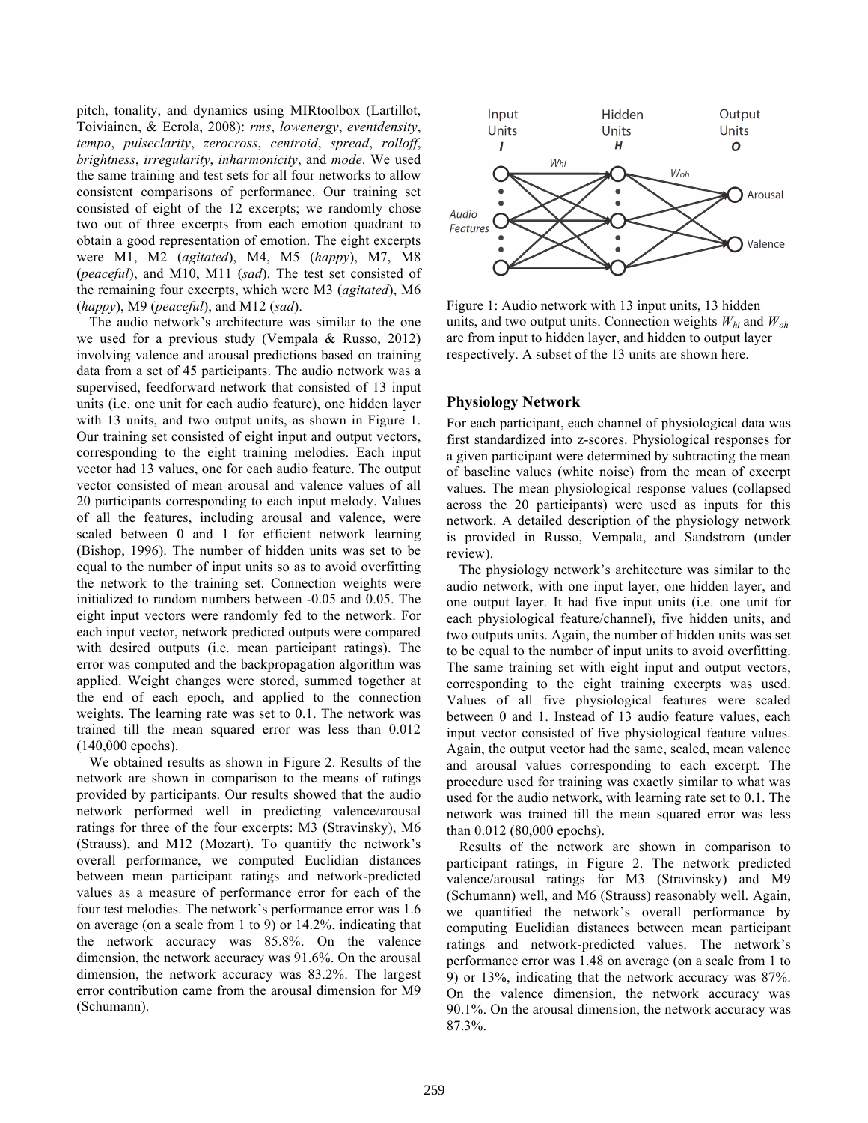pitch, tonality, and dynamics using MIRtoolbox (Lartillot, Toiviainen, & Eerola, 2008): *rms*, *lowenergy*, *eventdensity*, *tempo*, *pulseclarity*, *zerocross*, *centroid*, *spread*, *rolloff*, *brightness*, *irregularity*, *inharmonicity*, and *mode*. We used the same training and test sets for all four networks to allow consistent comparisons of performance. Our training set consisted of eight of the 12 excerpts; we randomly chose two out of three excerpts from each emotion quadrant to obtain a good representation of emotion. The eight excerpts were M1, M2 (*agitated*), M4, M5 (*happy*), M7, M8 (*peaceful*), and M10, M11 (*sad*). The test set consisted of the remaining four excerpts, which were M3 (*agitated*), M6 (*happy*), M9 (*peaceful*), and M12 (*sad*).

The audio network's architecture was similar to the one we used for a previous study (Vempala & Russo, 2012) involving valence and arousal predictions based on training data from a set of 45 participants. The audio network was a supervised, feedforward network that consisted of 13 input units (i.e. one unit for each audio feature), one hidden layer with 13 units, and two output units, as shown in Figure 1. Our training set consisted of eight input and output vectors, corresponding to the eight training melodies. Each input vector had 13 values, one for each audio feature. The output vector consisted of mean arousal and valence values of all 20 participants corresponding to each input melody. Values of all the features, including arousal and valence, were scaled between 0 and 1 for efficient network learning (Bishop, 1996). The number of hidden units was set to be equal to the number of input units so as to avoid overfitting the network to the training set. Connection weights were initialized to random numbers between -0.05 and 0.05. The eight input vectors were randomly fed to the network. For each input vector, network predicted outputs were compared with desired outputs (i.e. mean participant ratings). The error was computed and the backpropagation algorithm was applied. Weight changes were stored, summed together at the end of each epoch, and applied to the connection weights. The learning rate was set to 0.1. The network was trained till the mean squared error was less than 0.012 (140,000 epochs).

We obtained results as shown in Figure 2. Results of the network are shown in comparison to the means of ratings provided by participants. Our results showed that the audio network performed well in predicting valence/arousal ratings for three of the four excerpts: M3 (Stravinsky), M6 (Strauss), and M12 (Mozart). To quantify the network's overall performance, we computed Euclidian distances between mean participant ratings and network-predicted values as a measure of performance error for each of the four test melodies. The network's performance error was 1.6 on average (on a scale from 1 to 9) or 14.2%, indicating that the network accuracy was 85.8%. On the valence dimension, the network accuracy was 91.6%. On the arousal dimension, the network accuracy was 83.2%. The largest error contribution came from the arousal dimension for M9 (Schumann).



Figure 1: Audio network with 13 input units, 13 hidden units, and two output units. Connection weights  $W_{hi}$  and  $W_{oh}$ are from input to hidden layer, and hidden to output layer respectively. A subset of the 13 units are shown here.

## **Physiology Network**

For each participant, each channel of physiological data was first standardized into z-scores. Physiological responses for a given participant were determined by subtracting the mean of baseline values (white noise) from the mean of excerpt values. The mean physiological response values (collapsed across the 20 participants) were used as inputs for this network. A detailed description of the physiology network is provided in Russo, Vempala, and Sandstrom (under review).

The physiology network's architecture was similar to the audio network, with one input layer, one hidden layer, and one output layer. It had five input units (i.e. one unit for each physiological feature/channel), five hidden units, and two outputs units. Again, the number of hidden units was set to be equal to the number of input units to avoid overfitting. The same training set with eight input and output vectors, corresponding to the eight training excerpts was used. Values of all five physiological features were scaled between 0 and 1. Instead of 13 audio feature values, each input vector consisted of five physiological feature values. Again, the output vector had the same, scaled, mean valence and arousal values corresponding to each excerpt. The procedure used for training was exactly similar to what was used for the audio network, with learning rate set to 0.1. The network was trained till the mean squared error was less than 0.012 (80,000 epochs).

Results of the network are shown in comparison to participant ratings, in Figure 2. The network predicted valence/arousal ratings for M3 (Stravinsky) and M9 (Schumann) well, and M6 (Strauss) reasonably well. Again, we quantified the network's overall performance by computing Euclidian distances between mean participant ratings and network-predicted values. The network's performance error was 1.48 on average (on a scale from 1 to 9) or 13%, indicating that the network accuracy was 87%. On the valence dimension, the network accuracy was 90.1%. On the arousal dimension, the network accuracy was 87.3%.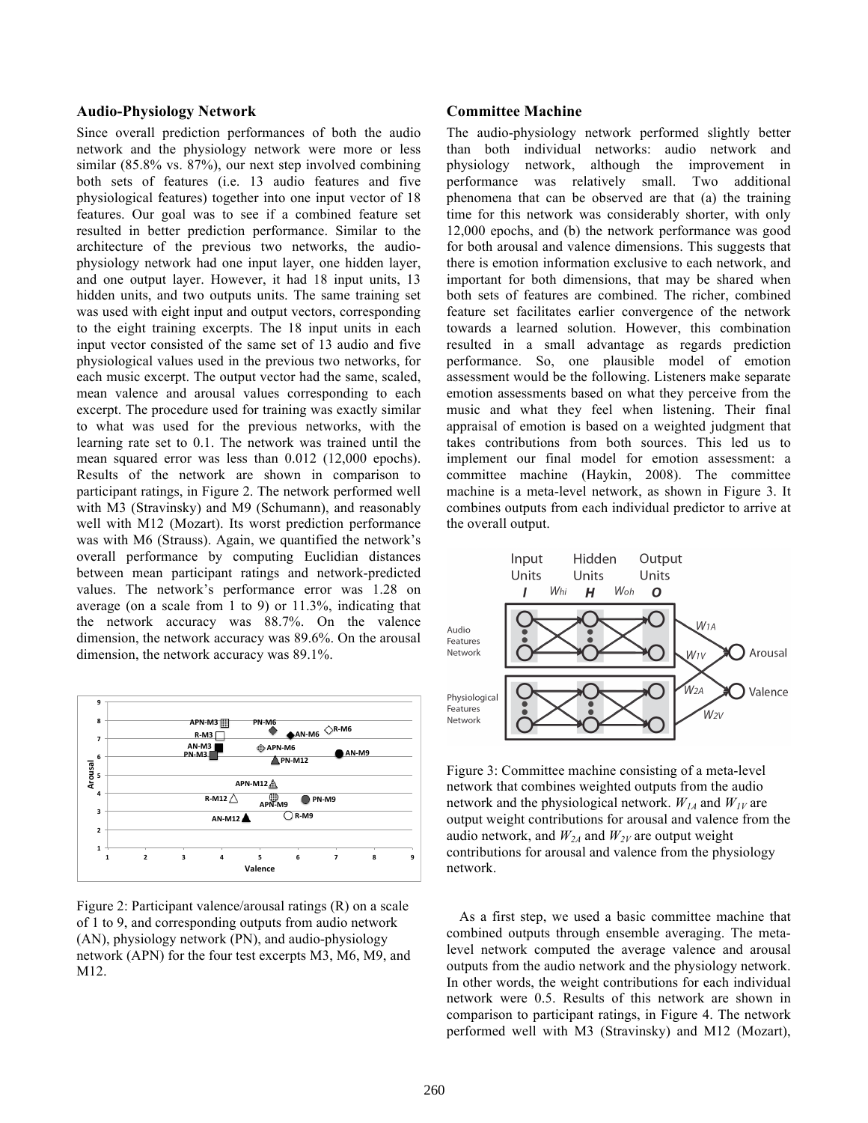### **Audio-Physiology Network**

Since overall prediction performances of both the audio network and the physiology network were more or less similar (85.8% vs. 87%), our next step involved combining both sets of features (i.e. 13 audio features and five physiological features) together into one input vector of 18 features. Our goal was to see if a combined feature set resulted in better prediction performance. Similar to the architecture of the previous two networks, the audiophysiology network had one input layer, one hidden layer, and one output layer. However, it had 18 input units, 13 hidden units, and two outputs units. The same training set was used with eight input and output vectors, corresponding to the eight training excerpts. The 18 input units in each input vector consisted of the same set of 13 audio and five physiological values used in the previous two networks, for each music excerpt. The output vector had the same, scaled, mean valence and arousal values corresponding to each excerpt. The procedure used for training was exactly similar to what was used for the previous networks, with the learning rate set to 0.1. The network was trained until the mean squared error was less than 0.012 (12,000 epochs). Results of the network are shown in comparison to participant ratings, in Figure 2. The network performed well with M3 (Stravinsky) and M9 (Schumann), and reasonably well with M12 (Mozart). Its worst prediction performance was with M6 (Strauss). Again, we quantified the network's overall performance by computing Euclidian distances between mean participant ratings and network-predicted values. The network's performance error was 1.28 on average (on a scale from 1 to 9) or 11.3%, indicating that the network accuracy was 88.7%. On the valence dimension, the network accuracy was 89.6%. On the arousal dimension, the network accuracy was 89.1%.



Figure 2: Participant valence/arousal ratings (R) on a scale of 1 to 9, and corresponding outputs from audio network (AN), physiology network (PN), and audio-physiology network (APN) for the four test excerpts M3, M6, M9, and M12.

#### **Committee Machine**

The audio-physiology network performed slightly better than both individual networks: audio network and physiology network, although the improvement in performance was relatively small. Two additional phenomena that can be observed are that (a) the training time for this network was considerably shorter, with only 12,000 epochs, and (b) the network performance was good for both arousal and valence dimensions. This suggests that there is emotion information exclusive to each network, and important for both dimensions, that may be shared when both sets of features are combined. The richer, combined feature set facilitates earlier convergence of the network towards a learned solution. However, this combination resulted in a small advantage as regards prediction performance. So, one plausible model of emotion assessment would be the following. Listeners make separate emotion assessments based on what they perceive from the music and what they feel when listening. Their final appraisal of emotion is based on a weighted judgment that takes contributions from both sources. This led us to implement our final model for emotion assessment: a committee machine (Haykin, 2008). The committee machine is a meta-level network, as shown in Figure 3. It combines outputs from each individual predictor to arrive at the overall output.



Figure 3: Committee machine consisting of a meta-level network that combines weighted outputs from the audio network and the physiological network.  $W_{1A}$  and  $W_{1V}$  are output weight contributions for arousal and valence from the audio network, and  $W_{2A}$  and  $W_{2V}$  are output weight contributions for arousal and valence from the physiology network.

As a first step, we used a basic committee machine that combined outputs through ensemble averaging. The metalevel network computed the average valence and arousal outputs from the audio network and the physiology network. In other words, the weight contributions for each individual network were 0.5. Results of this network are shown in comparison to participant ratings, in Figure 4. The network performed well with M3 (Stravinsky) and M12 (Mozart),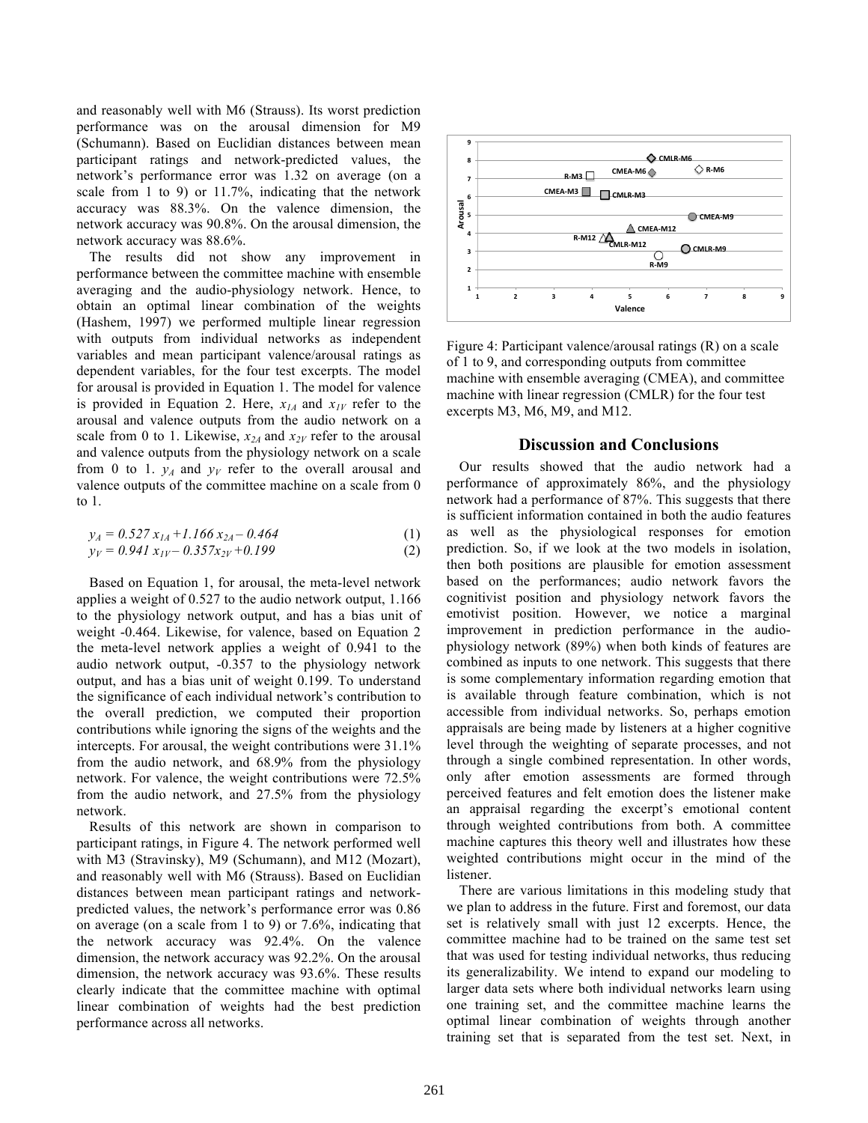and reasonably well with M6 (Strauss). Its worst prediction performance was on the arousal dimension for M9 (Schumann). Based on Euclidian distances between mean participant ratings and network-predicted values, the network's performance error was 1.32 on average (on a scale from 1 to 9) or 11.7%, indicating that the network accuracy was 88.3%. On the valence dimension, the network accuracy was 90.8%. On the arousal dimension, the network accuracy was 88.6%.

The results did not show any improvement in performance between the committee machine with ensemble averaging and the audio-physiology network. Hence, to obtain an optimal linear combination of the weights (Hashem, 1997) we performed multiple linear regression with outputs from individual networks as independent variables and mean participant valence/arousal ratings as dependent variables, for the four test excerpts. The model for arousal is provided in Equation 1. The model for valence is provided in Equation 2. Here,  $x_{1A}$  and  $x_{1Y}$  refer to the arousal and valence outputs from the audio network on a scale from 0 to 1. Likewise,  $x_{2A}$  and  $x_{2V}$  refer to the arousal and valence outputs from the physiology network on a scale from 0 to 1.  $y_A$  and  $y_V$  refer to the overall arousal and valence outputs of the committee machine on a scale from 0 to 1.

$$
y_A = 0.527 x_{IA} + 1.166 x_{2A} - 0.464
$$
 (1)

$$
y_V = 0.941 x_{IV} - 0.357 x_{2V} + 0.199
$$
 (2)

Based on Equation 1, for arousal, the meta-level network applies a weight of 0.527 to the audio network output, 1.166 to the physiology network output, and has a bias unit of weight -0.464. Likewise, for valence, based on Equation 2 the meta-level network applies a weight of 0.941 to the audio network output, -0.357 to the physiology network output, and has a bias unit of weight 0.199. To understand the significance of each individual network's contribution to the overall prediction, we computed their proportion contributions while ignoring the signs of the weights and the intercepts. For arousal, the weight contributions were 31.1% from the audio network, and 68.9% from the physiology network. For valence, the weight contributions were 72.5% from the audio network, and 27.5% from the physiology network.

Results of this network are shown in comparison to participant ratings, in Figure 4. The network performed well with M3 (Stravinsky), M9 (Schumann), and M12 (Mozart), and reasonably well with M6 (Strauss). Based on Euclidian distances between mean participant ratings and networkpredicted values, the network's performance error was 0.86 on average (on a scale from 1 to 9) or 7.6%, indicating that the network accuracy was 92.4%. On the valence dimension, the network accuracy was 92.2%. On the arousal dimension, the network accuracy was 93.6%. These results clearly indicate that the committee machine with optimal linear combination of weights had the best prediction performance across all networks.



Figure 4: Participant valence/arousal ratings (R) on a scale of 1 to 9, and corresponding outputs from committee machine with ensemble averaging (CMEA), and committee machine with linear regression (CMLR) for the four test excerpts M3, M6, M9, and M12.

### **Discussion and Conclusions**

Our results showed that the audio network had a performance of approximately 86%, and the physiology network had a performance of 87%. This suggests that there is sufficient information contained in both the audio features as well as the physiological responses for emotion prediction. So, if we look at the two models in isolation, then both positions are plausible for emotion assessment based on the performances; audio network favors the cognitivist position and physiology network favors the emotivist position. However, we notice a marginal improvement in prediction performance in the audiophysiology network (89%) when both kinds of features are combined as inputs to one network. This suggests that there is some complementary information regarding emotion that is available through feature combination, which is not accessible from individual networks. So, perhaps emotion appraisals are being made by listeners at a higher cognitive level through the weighting of separate processes, and not through a single combined representation. In other words, only after emotion assessments are formed through perceived features and felt emotion does the listener make an appraisal regarding the excerpt's emotional content through weighted contributions from both. A committee machine captures this theory well and illustrates how these weighted contributions might occur in the mind of the listener.

There are various limitations in this modeling study that we plan to address in the future. First and foremost, our data set is relatively small with just 12 excerpts. Hence, the committee machine had to be trained on the same test set that was used for testing individual networks, thus reducing its generalizability. We intend to expand our modeling to larger data sets where both individual networks learn using one training set, and the committee machine learns the optimal linear combination of weights through another training set that is separated from the test set. Next, in